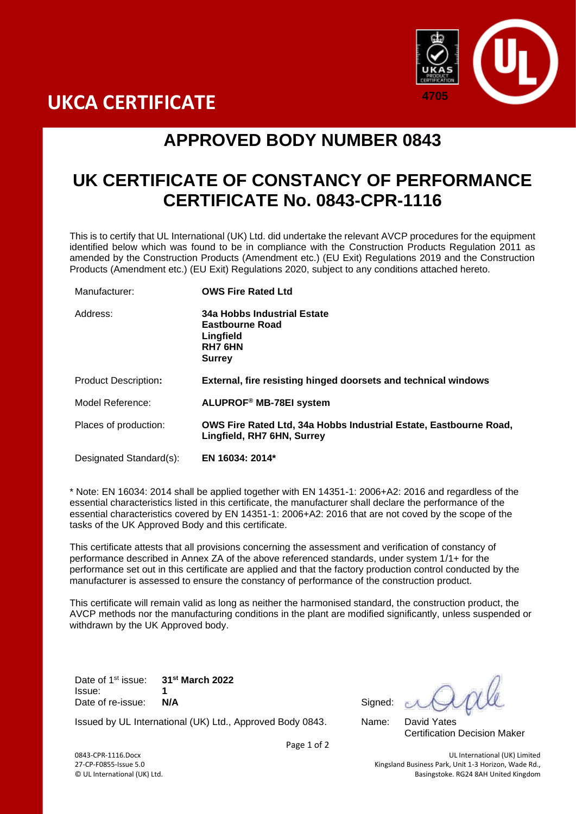



## **APPROVED BODY NUMBER 0843**

## **UK CERTIFICATE OF CONSTANCY OF PERFORMANCE CERTIFICATE No. 0843-CPR-1116**

This is to certify that UL International (UK) Ltd. did undertake the relevant AVCP procedures for the equipment identified below which was found to be in compliance with the Construction Products Regulation 2011 as amended by the Construction Products (Amendment etc.) (EU Exit) Regulations 2019 and the Construction Products (Amendment etc.) (EU Exit) Regulations 2020, subject to any conditions attached hereto.

| Manufacturer:               | <b>OWS Fire Rated Ltd</b>                                                                       |
|-----------------------------|-------------------------------------------------------------------------------------------------|
| Address:                    | 34a Hobbs Industrial Estate<br>Eastbourne Road<br>Lingfield<br><b>RH7 6HN</b><br><b>Surrey</b>  |
| <b>Product Description:</b> | External, fire resisting hinged doorsets and technical windows                                  |
| Model Reference:            | ALUPROF® MB-78EI system                                                                         |
| Places of production:       | OWS Fire Rated Ltd, 34a Hobbs Industrial Estate, Eastbourne Road,<br>Lingfield, RH7 6HN, Surrey |
| Designated Standard(s):     | EN 16034: 2014*                                                                                 |

\* Note: EN 16034: 2014 shall be applied together with EN 14351-1: 2006+A2: 2016 and regardless of the essential characteristics listed in this certificate, the manufacturer shall declare the performance of the essential characteristics covered by EN 14351-1: 2006+A2: 2016 that are not coved by the scope of the tasks of the UK Approved Body and this certificate.

This certificate attests that all provisions concerning the assessment and verification of constancy of performance described in Annex ZA of the above referenced standards, under system 1/1+ for the performance set out in this certificate are applied and that the factory production control conducted by the manufacturer is assessed to ensure the constancy of performance of the construction product.

This certificate will remain valid as long as neither the harmonised standard, the construction product, the AVCP methods nor the manufacturing conditions in the plant are modified significantly, unless suspended or withdrawn by the UK Approved body.

Date of 1<sup>st</sup> issue: st issue: **31st March 2022** Issue: **1** Date of re-issue: **N/A** Signed:

Certification Decision Maker

Issued by UL International (UK) Ltd., Approved Body 0843. Name: David Yates

Page 1 of 2

0843-CPR-1116.Docx UL International (UK) Limited 27-CP-F0855-Issue 5.0 Kingsland Business Park, Unit 1-3 Horizon, Wade Rd., Basingstoke. RG24 8AH United Kingdom